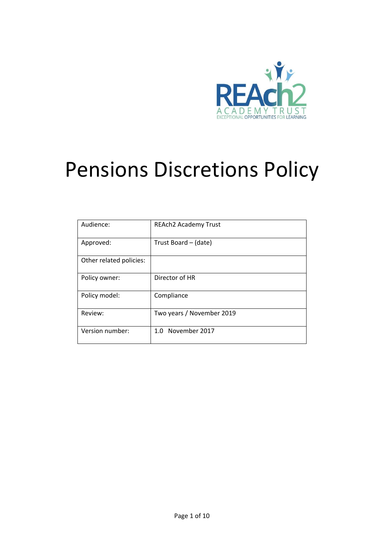

# Pensions Discretions Policy

| Audience:               | <b>REAch2 Academy Trust</b> |
|-------------------------|-----------------------------|
| Approved:               | Trust Board - (date)        |
| Other related policies: |                             |
| Policy owner:           | Director of HR              |
| Policy model:           | Compliance                  |
| Review:                 | Two years / November 2019   |
| Version number:         | 1.0 November 2017           |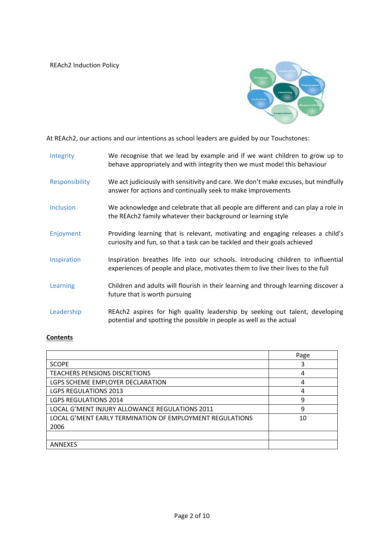

At REAch2, our actions and our intentions as school leaders are guided by our Touchstones:

| Integrity        | We recognise that we lead by example and if we want children to grow up to<br>behave appropriately and with integrity then we must model this behaviour            |
|------------------|--------------------------------------------------------------------------------------------------------------------------------------------------------------------|
| Responsibility   | We act judiciously with sensitivity and care. We don't make excuses, but mindfully<br>answer for actions and continually seek to make improvements                 |
| <b>Inclusion</b> | We acknowledge and celebrate that all people are different and can play a role in<br>the REAch2 family whatever their background or learning style                 |
| Enjoyment        | Providing learning that is relevant, motivating and engaging releases a child's<br>curiosity and fun, so that a task can be tackled and their goals achieved       |
| Inspiration      | Inspiration breathes life into our schools. Introducing children to influential<br>experiences of people and place, motivates them to live their lives to the full |
| Learning         | Children and adults will flourish in their learning and through learning discover a<br>future that is worth pursuing                                               |
| Leadership       | REAch2 aspires for high quality leadership by seeking out talent, developing<br>potential and spotting the possible in people as well as the actual                |

## **Contents**

|                                                          | Page |
|----------------------------------------------------------|------|
| <b>SCOPE</b>                                             | 3    |
| <b>TEACHERS PENSIONS DISCRETIONS</b>                     | 4    |
| LGPS SCHEME EMPLOYER DECLARATION                         | 4    |
| <b>LGPS REGULATIONS 2013</b>                             | 4    |
| <b>LGPS REGULATIONS 2014</b>                             | 9    |
| LOCAL G'MENT INJURY ALLOWANCE REGULATIONS 2011           | 9    |
| LOCAL G'MENT EARLY TERMINATION OF EMPLOYMENT REGULATIONS | 10   |
| 2006                                                     |      |
|                                                          |      |
| <b>ANNEXES</b>                                           |      |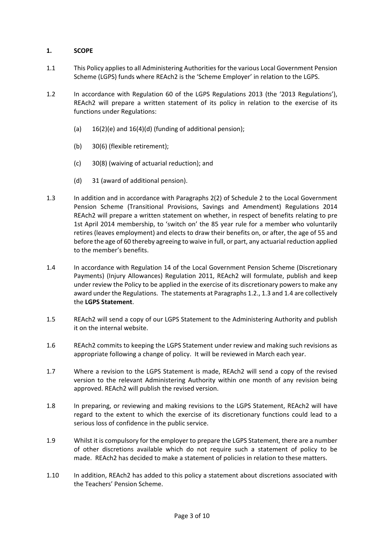## **1. SCOPE**

- 1.1 This Policy applies to all Administering Authorities for the various Local Government Pension Scheme (LGPS) funds where REAch2 is the 'Scheme Employer' in relation to the LGPS.
- 1.2 In accordance with Regulation 60 of the LGPS Regulations 2013 (the '2013 Regulations'), REAch2 will prepare a written statement of its policy in relation to the exercise of its functions under Regulations:
	- (a)  $16(2)(e)$  and  $16(4)(d)$  (funding of additional pension);
	- (b) 30(6) (flexible retirement);
	- (c) 30(8) (waiving of actuarial reduction); and
	- (d) 31 (award of additional pension).
- 1.3 In addition and in accordance with Paragraphs 2(2) of Schedule 2 to the Local Government Pension Scheme (Transitional Provisions, Savings and Amendment) Regulations 2014 REAch2 will prepare a written statement on whether, in respect of benefits relating to pre 1st April 2014 membership, to 'switch on' the 85 year rule for a member who voluntarily retires (leaves employment) and elects to draw their benefits on, or after, the age of 55 and before the age of 60 thereby agreeing to waive in full, or part, any actuarial reduction applied to the member's benefits.
- 1.4 In accordance with Regulation 14 of the Local Government Pension Scheme (Discretionary Payments) (Injury Allowances) Regulation 2011, REAch2 will formulate, publish and keep under review the Policy to be applied in the exercise of its discretionary powers to make any award under the Regulations. The statements at Paragraphs 1.2., 1.3 and 1.4 are collectively the **LGPS Statement**.
- 1.5 REAch2 will send a copy of our LGPS Statement to the Administering Authority and publish it on the internal website.
- 1.6 REAch2 commits to keeping the LGPS Statement under review and making such revisions as appropriate following a change of policy. It will be reviewed in March each year.
- 1.7 Where a revision to the LGPS Statement is made, REAch2 will send a copy of the revised version to the relevant Administering Authority within one month of any revision being approved. REAch2 will publish the revised version.
- 1.8 In preparing, or reviewing and making revisions to the LGPS Statement, REAch2 will have regard to the extent to which the exercise of its discretionary functions could lead to a serious loss of confidence in the public service.
- 1.9 Whilst it is compulsory for the employer to prepare the LGPS Statement, there are a number of other discretions available which do not require such a statement of policy to be made. REAch2 has decided to make a statement of policies in relation to these matters.
- 1.10 In addition, REAch2 has added to this policy a statement about discretions associated with the Teachers' Pension Scheme.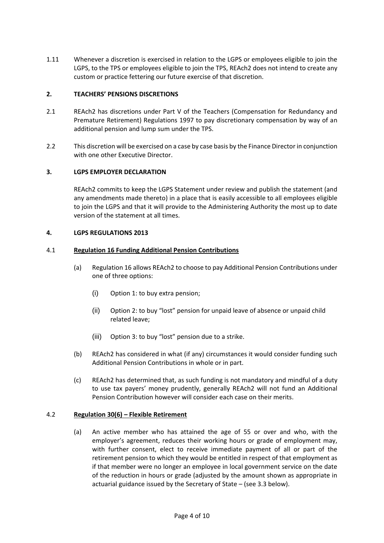1.11 Whenever a discretion is exercised in relation to the LGPS or employees eligible to join the LGPS, to the TPS or employees eligible to join the TPS, REAch2 does not intend to create any custom or practice fettering our future exercise of that discretion.

## **2. TEACHERS' PENSIONS DISCRETIONS**

- 2.1 REAch2 has discretions under Part V of the Teachers (Compensation for Redundancy and Premature Retirement) Regulations 1997 to pay discretionary compensation by way of an additional pension and lump sum under the TPS.
- 2.2 This discretion will be exercised on a case by case basis by the Finance Director in conjunction with one other Executive Director.

## **3. LGPS EMPLOYER DECLARATION**

REAch2 commits to keep the LGPS Statement under review and publish the statement (and any amendments made thereto) in a place that is easily accessible to all employees eligible to join the LGPS and that it will provide to the Administering Authority the most up to date version of the statement at all times.

#### **4. LGPS REGULATIONS 2013**

#### 4.1 **Regulation 16 Funding Additional Pension Contributions**

- (a) Regulation 16 allows REAch2 to choose to pay Additional Pension Contributions under one of three options:
	- (i) Option 1: to buy extra pension;
	- (ii) Option 2: to buy "lost" pension for unpaid leave of absence or unpaid child related leave;
	- (iii) Option 3: to buy "lost" pension due to a strike.
- (b) REAch2 has considered in what (if any) circumstances it would consider funding such Additional Pension Contributions in whole or in part.
- (c) REAch2 has determined that, as such funding is not mandatory and mindful of a duty to use tax payers' money prudently, generally REAch2 will not fund an Additional Pension Contribution however will consider each case on their merits.

#### 4.2 **Regulation 30(6) – Flexible Retirement**

(a) An active member who has attained the age of 55 or over and who, with the employer's agreement, reduces their working hours or grade of employment may, with further consent, elect to receive immediate payment of all or part of the retirement pension to which they would be entitled in respect of that employment as if that member were no longer an employee in local government service on the date of the reduction in hours or grade (adjusted by the amount shown as appropriate in actuarial guidance issued by the Secretary of State – (see 3.3 below).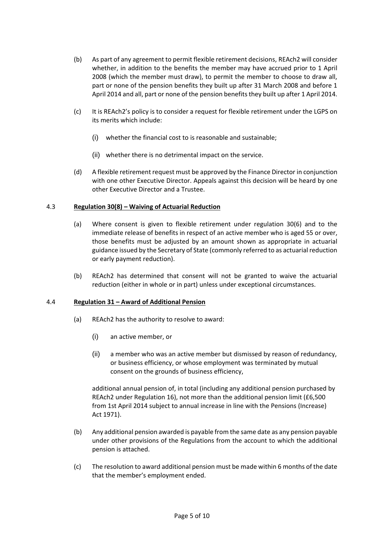- (b) As part of any agreement to permit flexible retirement decisions, REAch2 will consider whether, in addition to the benefits the member may have accrued prior to 1 April 2008 (which the member must draw), to permit the member to choose to draw all, part or none of the pension benefits they built up after 31 March 2008 and before 1 April 2014 and all, part or none of the pension benefits they built up after 1 April 2014.
- (c) It is REAch2's policy is to consider a request for flexible retirement under the LGPS on its merits which include:
	- (i) whether the financial cost to is reasonable and sustainable;
	- (ii) whether there is no detrimental impact on the service.
- (d) A flexible retirement request must be approved by the Finance Director in conjunction with one other Executive Director. Appeals against this decision will be heard by one other Executive Director and a Trustee.

#### 4.3 **Regulation 30(8) – Waiving of Actuarial Reduction**

- (a) Where consent is given to flexible retirement under regulation 30(6) and to the immediate release of benefits in respect of an active member who is aged 55 or over, those benefits must be adjusted by an amount shown as appropriate in actuarial guidance issued by the Secretary of State (commonly referred to as actuarial reduction or early payment reduction).
- (b) REAch2 has determined that consent will not be granted to waive the actuarial reduction (either in whole or in part) unless under exceptional circumstances.

#### 4.4 **Regulation 31 – Award of Additional Pension**

- (a) REAch2 has the authority to resolve to award:
	- (i) an active member, or
	- (ii) a member who was an active member but dismissed by reason of redundancy, or business efficiency, or whose employment was terminated by mutual consent on the grounds of business efficiency,

additional annual pension of, in total (including any additional pension purchased by REAch2 under Regulation 16), not more than the additional pension limit (£6,500 from 1st April 2014 subject to annual increase in line with the Pensions (Increase) Act 1971).

- (b) Any additional pension awarded is payable from the same date as any pension payable under other provisions of the Regulations from the account to which the additional pension is attached.
- (c) The resolution to award additional pension must be made within 6 months of the date that the member's employment ended.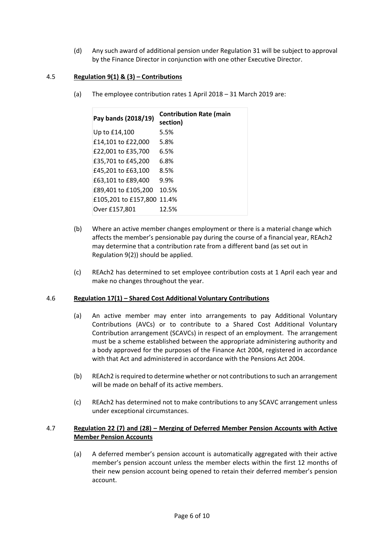(d) Any such award of additional pension under Regulation 31 will be subject to approval by the Finance Director in conjunction with one other Executive Director.

## 4.5 **Regulation 9(1) & (3) – Contributions**

(a) The employee contribution rates 1 April 2018 – 31 March 2019 are:

| Pay bands (2018/19)  | <b>Contribution Rate (main</b><br>section) |
|----------------------|--------------------------------------------|
| Up to £14,100        | 5.5%                                       |
| £14,101 to £22,000   | 5.8%                                       |
| £22,001 to £35,700   | 6.5%                                       |
| £35,701 to £45,200   | 6.8%                                       |
| £45,201 to £63,100   | 8.5%                                       |
| £63,101 to £89,400   | 9.9%                                       |
| £89,401 to £105,200  | 10.5%                                      |
| £105,201 to £157,800 | 11.4%                                      |
| Over £157,801        | 12.5%                                      |

- (b) Where an active member changes employment or there is a material change which affects the member's pensionable pay during the course of a financial year, REAch2 may determine that a contribution rate from a different band (as set out in Regulation 9(2)) should be applied.
- (c) REAch2 has determined to set employee contribution costs at 1 April each year and make no changes throughout the year.

#### 4.6 **Regulation 17(1) – Shared Cost Additional Voluntary Contributions**

- (a) An active member may enter into arrangements to pay Additional Voluntary Contributions (AVCs) or to contribute to a Shared Cost Additional Voluntary Contribution arrangement (SCAVCs) in respect of an employment. The arrangement must be a scheme established between the appropriate administering authority and a body approved for the purposes of the Finance Act 2004, registered in accordance with that Act and administered in accordance with the Pensions Act 2004.
- (b) REAch2 is required to determine whether or not contributions to such an arrangement will be made on behalf of its active members.
- (c) REAch2 has determined not to make contributions to any SCAVC arrangement unless under exceptional circumstances.

## 4.7 **Regulation 22 (7) and (28) – Merging of Deferred Member Pension Accounts with Active Member Pension Accounts**

(a) A deferred member's pension account is automatically aggregated with their active member's pension account unless the member elects within the first 12 months of their new pension account being opened to retain their deferred member's pension account.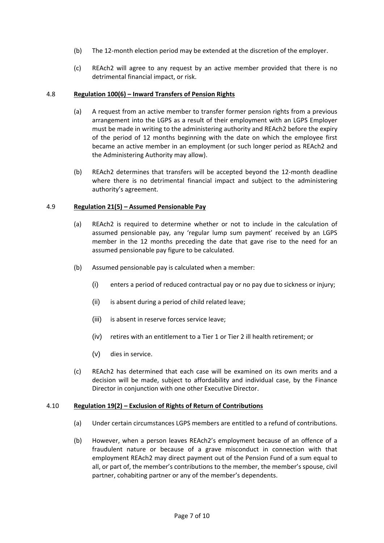- (b) The 12-month election period may be extended at the discretion of the employer.
- (c) REAch2 will agree to any request by an active member provided that there is no detrimental financial impact, or risk.

#### 4.8 **Regulation 100(6) – Inward Transfers of Pension Rights**

- (a) A request from an active member to transfer former pension rights from a previous arrangement into the LGPS as a result of their employment with an LGPS Employer must be made in writing to the administering authority and REAch2 before the expiry of the period of 12 months beginning with the date on which the employee first became an active member in an employment (or such longer period as REAch2 and the Administering Authority may allow).
- (b) REAch2 determines that transfers will be accepted beyond the 12-month deadline where there is no detrimental financial impact and subject to the administering authority's agreement.

## 4.9 **Regulation 21(5) – Assumed Pensionable Pay**

- (a) REAch2 is required to determine whether or not to include in the calculation of assumed pensionable pay, any 'regular lump sum payment' received by an LGPS member in the 12 months preceding the date that gave rise to the need for an assumed pensionable pay figure to be calculated.
- (b) Assumed pensionable pay is calculated when a member:
	- (i) enters a period of reduced contractual pay or no pay due to sickness or injury;
	- (ii) is absent during a period of child related leave;
	- (iii) is absent in reserve forces service leave;
	- (iv) retires with an entitlement to a Tier 1 or Tier 2 ill health retirement; or
	- (v) dies in service.
- (c) REAch2 has determined that each case will be examined on its own merits and a decision will be made, subject to affordability and individual case, by the Finance Director in conjunction with one other Executive Director.

#### 4.10 **Regulation 19(2) – Exclusion of Rights of Return of Contributions**

- (a) Under certain circumstances LGPS members are entitled to a refund of contributions.
- (b) However, when a person leaves REAch2's employment because of an offence of a fraudulent nature or because of a grave misconduct in connection with that employment REAch2 may direct payment out of the Pension Fund of a sum equal to all, or part of, the member's contributions to the member, the member's spouse, civil partner, cohabiting partner or any of the member's dependents.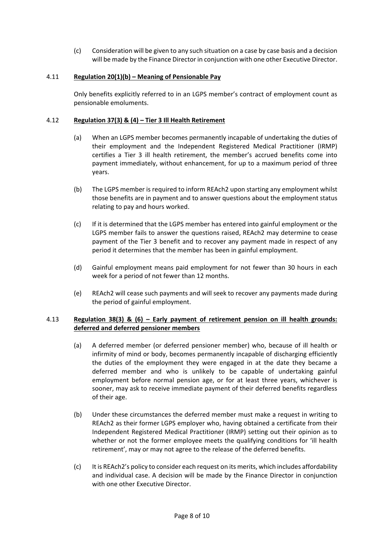(c) Consideration will be given to any such situation on a case by case basis and a decision will be made by the Finance Director in conjunction with one other Executive Director.

## 4.11 **Regulation 20(1)(b) – Meaning of Pensionable Pay**

Only benefits explicitly referred to in an LGPS member's contract of employment count as pensionable emoluments.

## 4.12 **Regulation 37(3) & (4) – Tier 3 Ill Health Retirement**

- (a) When an LGPS member becomes permanently incapable of undertaking the duties of their employment and the Independent Registered Medical Practitioner (IRMP) certifies a Tier 3 ill health retirement, the member's accrued benefits come into payment immediately, without enhancement, for up to a maximum period of three years.
- (b) The LGPS member is required to inform REAch2 upon starting any employment whilst those benefits are in payment and to answer questions about the employment status relating to pay and hours worked.
- (c) If it is determined that the LGPS member has entered into gainful employment or the LGPS member fails to answer the questions raised, REAch2 may determine to cease payment of the Tier 3 benefit and to recover any payment made in respect of any period it determines that the member has been in gainful employment.
- (d) Gainful employment means paid employment for not fewer than 30 hours in each week for a period of not fewer than 12 months.
- (e) REAch2 will cease such payments and will seek to recover any payments made during the period of gainful employment.

## 4.13 **Regulation 38(3) & (6) – Early payment of retirement pension on ill health grounds: deferred and deferred pensioner members**

- (a) A deferred member (or deferred pensioner member) who, because of ill health or infirmity of mind or body, becomes permanently incapable of discharging efficiently the duties of the employment they were engaged in at the date they became a deferred member and who is unlikely to be capable of undertaking gainful employment before normal pension age, or for at least three years, whichever is sooner, may ask to receive immediate payment of their deferred benefits regardless of their age.
- (b) Under these circumstances the deferred member must make a request in writing to REAch2 as their former LGPS employer who, having obtained a certificate from their Independent Registered Medical Practitioner (IRMP) setting out their opinion as to whether or not the former employee meets the qualifying conditions for 'ill health retirement', may or may not agree to the release of the deferred benefits.
- (c) It is REAch2's policy to consider each request on its merits, which includes affordability and individual case. A decision will be made by the Finance Director in conjunction with one other Executive Director.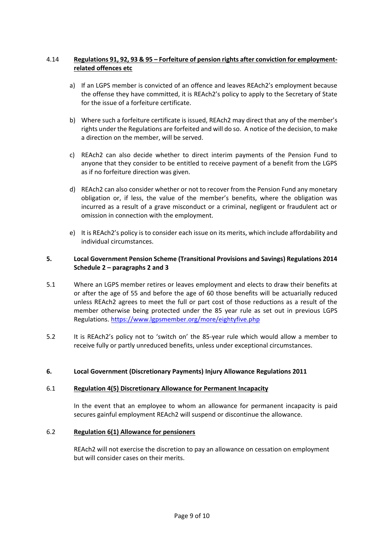## 4.14 **Regulations 91, 92, 93 & 95 – Forfeiture of pension rights after conviction for employmentrelated offences etc**

- a) If an LGPS member is convicted of an offence and leaves REAch2's employment because the offense they have committed, it is REAch2's policy to apply to the Secretary of State for the issue of a forfeiture certificate.
- b) Where such a forfeiture certificate is issued, REAch2 may direct that any of the member's rights under the Regulations are forfeited and will do so. A notice of the decision, to make a direction on the member, will be served.
- c) REAch2 can also decide whether to direct interim payments of the Pension Fund to anyone that they consider to be entitled to receive payment of a benefit from the LGPS as if no forfeiture direction was given.
- d) REAch2 can also consider whether or not to recover from the Pension Fund any monetary obligation or, if less, the value of the member's benefits, where the obligation was incurred as a result of a grave misconduct or a criminal, negligent or fraudulent act or omission in connection with the employment.
- e) It is REAch2's policy is to consider each issue on its merits, which include affordability and individual circumstances.

## **5. Local Government Pension Scheme (Transitional Provisions and Savings) Regulations 2014 Schedule 2 – paragraphs 2 and 3**

- 5.1 Where an LGPS member retires or leaves employment and elects to draw their benefits at or after the age of 55 and before the age of 60 those benefits will be actuarially reduced unless REAch2 agrees to meet the full or part cost of those reductions as a result of the member otherwise being protected under the 85 year rule as set out in previous LGPS Regulations. <https://www.lgpsmember.org/more/eightyfive.php>
- 5.2 It is REAch2's policy not to 'switch on' the 85-year rule which would allow a member to receive fully or partly unreduced benefits, unless under exceptional circumstances.

#### **6. Local Government (Discretionary Payments) Injury Allowance Regulations 2011**

#### 6.1 **Regulation 4(5) Discretionary Allowance for Permanent Incapacity**

In the event that an employee to whom an allowance for permanent incapacity is paid secures gainful employment REAch2 will suspend or discontinue the allowance.

#### 6.2 **Regulation 6(1) Allowance for pensioners**

REAch2 will not exercise the discretion to pay an allowance on cessation on employment but will consider cases on their merits.